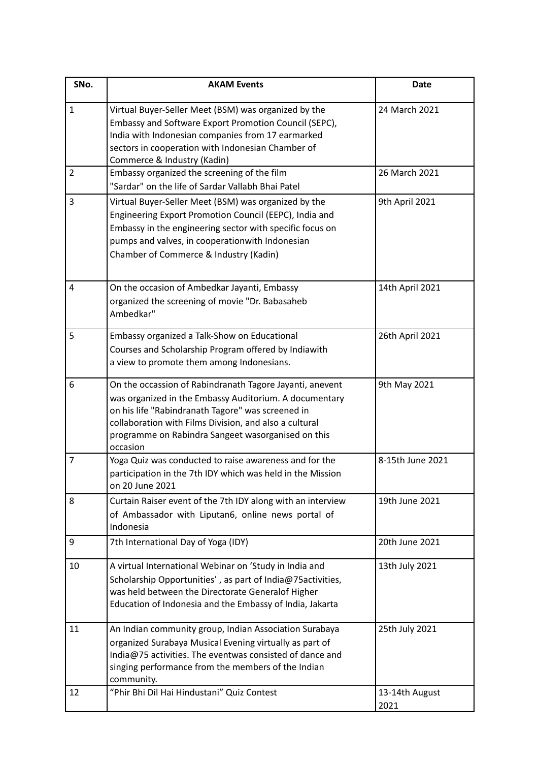| SNo.           | <b>AKAM Events</b>                                                                                                                                                                                                                                                                                  | Date                   |
|----------------|-----------------------------------------------------------------------------------------------------------------------------------------------------------------------------------------------------------------------------------------------------------------------------------------------------|------------------------|
| $\mathbf{1}$   | Virtual Buyer-Seller Meet (BSM) was organized by the<br>Embassy and Software Export Promotion Council (SEPC),<br>India with Indonesian companies from 17 earmarked<br>sectors in cooperation with Indonesian Chamber of<br>Commerce & Industry (Kadin)                                              | 24 March 2021          |
| $\overline{2}$ | Embassy organized the screening of the film<br>"Sardar" on the life of Sardar Vallabh Bhai Patel                                                                                                                                                                                                    | 26 March 2021          |
| 3              | Virtual Buyer-Seller Meet (BSM) was organized by the<br>Engineering Export Promotion Council (EEPC), India and<br>Embassy in the engineering sector with specific focus on<br>pumps and valves, in cooperationwith Indonesian<br>Chamber of Commerce & Industry (Kadin)                             | 9th April 2021         |
| 4              | On the occasion of Ambedkar Jayanti, Embassy<br>organized the screening of movie "Dr. Babasaheb<br>Ambedkar"                                                                                                                                                                                        | 14th April 2021        |
| 5              | Embassy organized a Talk-Show on Educational<br>Courses and Scholarship Program offered by Indiawith<br>a view to promote them among Indonesians.                                                                                                                                                   | 26th April 2021        |
| 6              | On the occassion of Rabindranath Tagore Jayanti, anevent<br>was organized in the Embassy Auditorium. A documentary<br>on his life "Rabindranath Tagore" was screened in<br>collaboration with Films Division, and also a cultural<br>programme on Rabindra Sangeet wasorganised on this<br>occasion | 9th May 2021           |
| 7              | Yoga Quiz was conducted to raise awareness and for the<br>participation in the 7th IDY which was held in the Mission<br>on 20 June 2021                                                                                                                                                             | 8-15th June 2021       |
| 8              | Curtain Raiser event of the 7th IDY along with an interview<br>of Ambassador with Liputan6, online news portal of<br>Indonesia                                                                                                                                                                      | 19th June 2021         |
| 9              | 7th International Day of Yoga (IDY)                                                                                                                                                                                                                                                                 | 20th June 2021         |
| 10             | A virtual International Webinar on 'Study in India and<br>Scholarship Opportunities', as part of India@75activities,<br>was held between the Directorate Generalof Higher<br>Education of Indonesia and the Embassy of India, Jakarta                                                               | 13th July 2021         |
| 11             | An Indian community group, Indian Association Surabaya<br>organized Surabaya Musical Evening virtually as part of<br>India@75 activities. The eventwas consisted of dance and<br>singing performance from the members of the Indian<br>community.                                                   | 25th July 2021         |
| 12             | "Phir Bhi Dil Hai Hindustani" Quiz Contest                                                                                                                                                                                                                                                          | 13-14th August<br>2021 |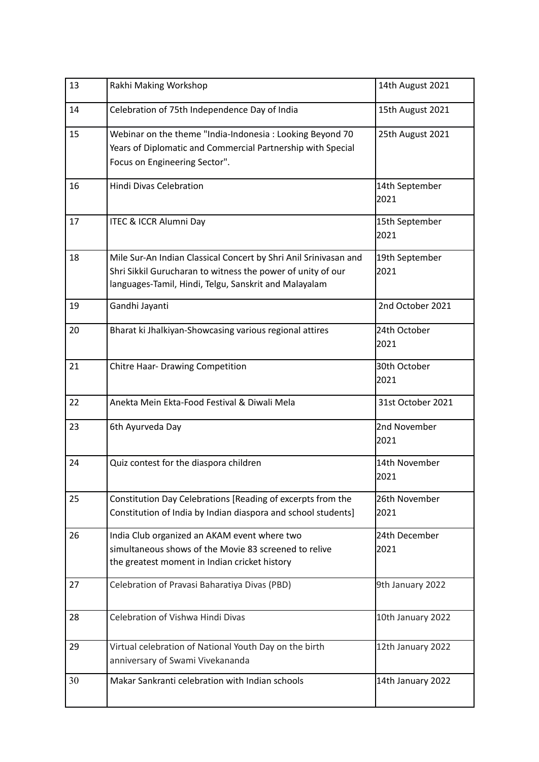| 13 | Rakhi Making Workshop                                                                                                                                                                    | 14th August 2021       |
|----|------------------------------------------------------------------------------------------------------------------------------------------------------------------------------------------|------------------------|
| 14 | Celebration of 75th Independence Day of India                                                                                                                                            | 15th August 2021       |
| 15 | Webinar on the theme "India-Indonesia: Looking Beyond 70<br>Years of Diplomatic and Commercial Partnership with Special<br>Focus on Engineering Sector".                                 | 25th August 2021       |
| 16 | <b>Hindi Divas Celebration</b>                                                                                                                                                           | 14th September<br>2021 |
| 17 | ITEC & ICCR Alumni Day                                                                                                                                                                   | 15th September<br>2021 |
| 18 | Mile Sur-An Indian Classical Concert by Shri Anil Srinivasan and<br>Shri Sikkil Gurucharan to witness the power of unity of our<br>languages-Tamil, Hindi, Telgu, Sanskrit and Malayalam | 19th September<br>2021 |
| 19 | Gandhi Jayanti                                                                                                                                                                           | 2nd October 2021       |
| 20 | Bharat ki Jhalkiyan-Showcasing various regional attires                                                                                                                                  | 24th October<br>2021   |
| 21 | Chitre Haar- Drawing Competition                                                                                                                                                         | 30th October<br>2021   |
| 22 | Anekta Mein Ekta-Food Festival & Diwali Mela                                                                                                                                             | 31st October 2021      |
| 23 | 6th Ayurveda Day                                                                                                                                                                         | 2nd November<br>2021   |
| 24 | Quiz contest for the diaspora children                                                                                                                                                   | 14th November<br>2021  |
| 25 | Constitution Day Celebrations [Reading of excerpts from the<br>Constitution of India by Indian diaspora and school students]                                                             | 26th November<br>2021  |
| 26 | India Club organized an AKAM event where two<br>simultaneous shows of the Movie 83 screened to relive<br>the greatest moment in Indian cricket history                                   | 24th December<br>2021  |
| 27 | Celebration of Pravasi Baharatiya Divas (PBD)                                                                                                                                            | 9th January 2022       |
| 28 | Celebration of Vishwa Hindi Divas                                                                                                                                                        | 10th January 2022      |
| 29 | Virtual celebration of National Youth Day on the birth<br>anniversary of Swami Vivekananda                                                                                               | 12th January 2022      |
| 30 | Makar Sankranti celebration with Indian schools                                                                                                                                          | 14th January 2022      |